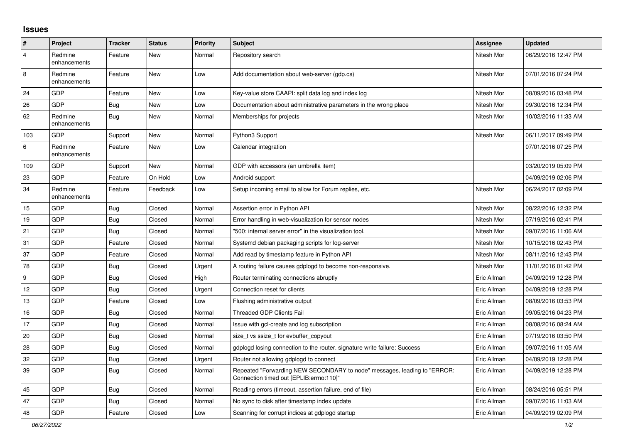## **Issues**

| #              | Project                 | <b>Tracker</b> | <b>Status</b> | <b>Priority</b> | <b>Subject</b>                                                                                                      | Assignee    | <b>Updated</b>      |
|----------------|-------------------------|----------------|---------------|-----------------|---------------------------------------------------------------------------------------------------------------------|-------------|---------------------|
| $\overline{4}$ | Redmine<br>enhancements | Feature        | New           | Normal          | Repository search                                                                                                   | Nitesh Mor  | 06/29/2016 12:47 PM |
| 8              | Redmine<br>enhancements | Feature        | New           | Low             | Add documentation about web-server (gdp.cs)                                                                         | Nitesh Mor  | 07/01/2016 07:24 PM |
| 24             | GDP                     | Feature        | <b>New</b>    | Low             | Key-value store CAAPI: split data log and index log                                                                 | Nitesh Mor  | 08/09/2016 03:48 PM |
| 26             | GDP                     | Bug            | New           | Low             | Documentation about administrative parameters in the wrong place                                                    | Nitesh Mor  | 09/30/2016 12:34 PM |
| 62             | Redmine<br>enhancements | Bug            | New           | Normal          | Memberships for projects                                                                                            | Nitesh Mor  | 10/02/2016 11:33 AM |
| 103            | GDP                     | Support        | New           | Normal          | Python3 Support                                                                                                     | Nitesh Mor  | 06/11/2017 09:49 PM |
| 6              | Redmine<br>enhancements | Feature        | New           | Low             | Calendar integration                                                                                                |             | 07/01/2016 07:25 PM |
| 109            | <b>GDP</b>              | Support        | <b>New</b>    | Normal          | GDP with accessors (an umbrella item)                                                                               |             | 03/20/2019 05:09 PM |
| 23             | <b>GDP</b>              | Feature        | On Hold       | Low             | Android support                                                                                                     |             | 04/09/2019 02:06 PM |
| 34             | Redmine<br>enhancements | Feature        | Feedback      | Low             | Setup incoming email to allow for Forum replies, etc.                                                               | Nitesh Mor  | 06/24/2017 02:09 PM |
| 15             | GDP                     | <b>Bug</b>     | Closed        | Normal          | Assertion error in Python API                                                                                       | Nitesh Mor  | 08/22/2016 12:32 PM |
| 19             | GDP                     | <b>Bug</b>     | Closed        | Normal          | Error handling in web-visualization for sensor nodes                                                                | Nitesh Mor  | 07/19/2016 02:41 PM |
| 21             | GDP                     | <b>Bug</b>     | Closed        | Normal          | "500: internal server error" in the visualization tool.                                                             | Nitesh Mor  | 09/07/2016 11:06 AM |
| 31             | GDP                     | Feature        | Closed        | Normal          | Systemd debian packaging scripts for log-server                                                                     | Nitesh Mor  | 10/15/2016 02:43 PM |
| 37             | GDP                     | Feature        | Closed        | Normal          | Add read by timestamp feature in Python API                                                                         | Nitesh Mor  | 08/11/2016 12:43 PM |
| 78             | GDP                     | <b>Bug</b>     | Closed        | Urgent          | A routing failure causes gdplogd to become non-responsive.                                                          | Nitesh Mor  | 11/01/2016 01:42 PM |
| 9              | GDP                     | Bug            | Closed        | High            | Router terminating connections abruptly                                                                             | Eric Allman | 04/09/2019 12:28 PM |
| 12             | GDP                     | Bug            | Closed        | Urgent          | Connection reset for clients                                                                                        | Eric Allman | 04/09/2019 12:28 PM |
| 13             | GDP                     | Feature        | Closed        | Low             | Flushing administrative output                                                                                      | Eric Allman | 08/09/2016 03:53 PM |
| 16             | GDP                     | Bug            | Closed        | Normal          | <b>Threaded GDP Clients Fail</b>                                                                                    | Eric Allman | 09/05/2016 04:23 PM |
| 17             | <b>GDP</b>              | <b>Bug</b>     | Closed        | Normal          | Issue with gcl-create and log subscription                                                                          | Eric Allman | 08/08/2016 08:24 AM |
| 20             | GDP                     | Bug            | Closed        | Normal          | size t vs ssize t for evbuffer copyout                                                                              | Eric Allman | 07/19/2016 03:50 PM |
| 28             | GDP                     | Bug            | Closed        | Normal          | gdplogd losing connection to the router, signature write failure: Success                                           | Eric Allman | 09/07/2016 11:05 AM |
| 32             | <b>GDP</b>              | Bug            | Closed        | Urgent          | Router not allowing gdplogd to connect                                                                              | Eric Allman | 04/09/2019 12:28 PM |
| 39             | GDP                     | Bug            | Closed        | Normal          | Repeated "Forwarding NEW SECONDARY to node" messages, leading to "ERROR:<br>Connection timed out [EPLIB:errno:110]" | Eric Allman | 04/09/2019 12:28 PM |
| 45             | <b>GDP</b>              | Bug            | Closed        | Normal          | Reading errors (timeout, assertion failure, end of file)                                                            | Eric Allman | 08/24/2016 05:51 PM |
| 47             | GDP                     | Bug            | Closed        | Normal          | No sync to disk after timestamp index update                                                                        | Eric Allman | 09/07/2016 11:03 AM |
| 48             | GDP                     | Feature        | Closed        | Low             | Scanning for corrupt indices at gdplogd startup                                                                     | Eric Allman | 04/09/2019 02:09 PM |